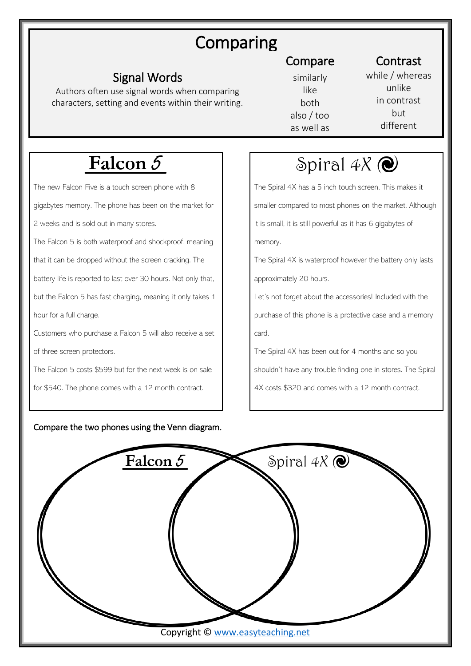# Comparing

### Signal Words

Authors often use signal words when comparing characters, setting and events within their writing.

## Compare Contrast

similarly like both also / too as well as while / whereas unlike in contrast but different

# Falcon 5

The new Falcon Five is a touch screen phone with 8

gigabytes memory. The phone has been on the market for

2 weeks and is sold out in many stores.

The Falcon 5 is both waterproof and shockproof, meaning

that it can be dropped without the screen cracking. The

battery life is reported to last over 30 hours. Not only that,

but the Falcon 5 has fast charging, meaning it only takes 1 hour for a full charge.

Customers who purchase a Falcon 5 will also receive a set

of three screen protectors.

The Falcon 5 costs \$599 but for the next week is on sale

for \$540. The phone comes with a 12 month contract.

#### Compare the two phones using the Venn diagram.

## Spiral  $4X$   $\odot$

The Spiral 4X has a 5 inch touch screen. This makes it smaller compared to most phones on the market. Although it is small, it is still powerful as it has 6 gigabytes of memory.

The Spiral 4X is waterproof however the battery only lasts approximately 20 hours.

Let's not forget about the accessories! Included with the purchase of this phone is a protective case and a memory card.

The Spiral 4X has been out for 4 months and so you

shouldn't have any trouble finding one in stores. The Spiral

4X costs \$320 and comes with a 12 month contract.